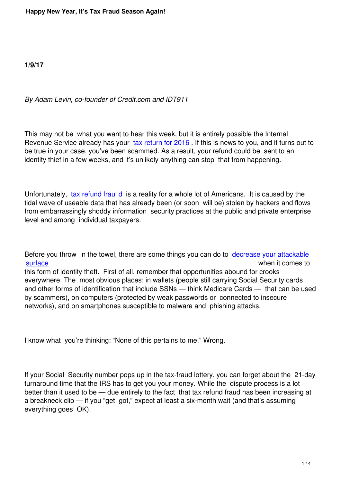*By Adam Levin, co-founder of Credit.com and IDT911*

This may not be what you want to hear this week, but it is entirely possible the Internal Revenue Service already has your tax return for 2016. If this is news to you, and it turns out to be true in your case, you've been scammed. As a result, your refund could be sent to an identity thief in a few weeks, and it's unlikely anything can stop that from happening.

Unfortunately, tax refund frau d is a reality for a whole lot of Americans. It is caused by the tidal wave of useable data that has already been (or soon will be) stolen by hackers and flows from embarrassingly shoddy information security practices at the public and private enterprise level and amo[ng individual taxpa](https://www.credit.com/taxes/protect-yourself-from-taxpayer-identity-theft/)yers.

Before you throw in the towel, there are some things you can do to decrease your attackable surface when it comes to this form of identity theft. First of all, remember that opportunities abound for crooks everywhere. The most obvious places: in wallets (people still carryi[ng Social Security cards](https://www.credit.com/identity-theft-protection/#how-to-protect-yourself-from-it)  [and othe](https://www.credit.com/identity-theft-protection/#how-to-protect-yourself-from-it)r forms of identification that include SSNs — think Medicare Cards — that can be used by scammers), on computers (protected by weak passwords or connected to insecure

networks), and on smartphones susceptible to malware and phishing attacks.

I know what you're thinking: "None of this pertains to me." Wrong.

If your Social Security number pops up in the tax-fraud lottery, you can forget about the 21-day turnaround time that the IRS has to get you your money. While the dispute process is a lot better than it used to be — due entirely to the fact that tax refund fraud has been increasing at a breakneck clip — if you "get got," expect at least a six-month wait (and that's assuming everything goes OK).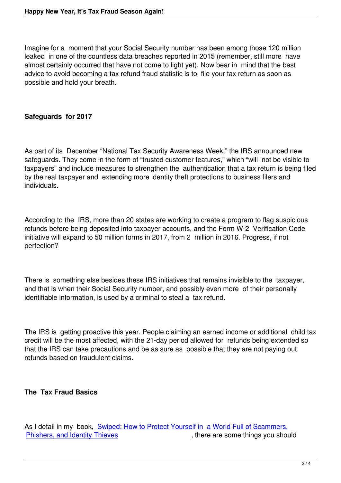Imagine for a moment that your Social Security number has been among those 120 million leaked in one of the countless data breaches reported in 2015 (remember, still more have almost certainly occurred that have not come to light yet). Now bear in mind that the best advice to avoid becoming a tax refund fraud statistic is to file your tax return as soon as possible and hold your breath.

## **Safeguards for 2017**

As part of its December "National Tax Security Awareness Week," the IRS announced new safeguards. They come in the form of "trusted customer features," which "will not be visible to taxpayers" and include measures to strengthen the authentication that a tax return is being filed by the real taxpayer and extending more identity theft protections to business filers and individuals.

According to the IRS, more than 20 states are working to create a program to flag suspicious refunds before being deposited into taxpayer accounts, and the Form W-2 Verification Code initiative will expand to 50 million forms in 2017, from 2 million in 2016. Progress, if not perfection?

There is something else besides these IRS initiatives that remains invisible to the taxpayer, and that is when their Social Security number, and possibly even more of their personally identifiable information, is used by a criminal to steal a tax refund.

The IRS is getting proactive this year. People claiming an earned income or additional child tax credit will be the most affected, with the 21-day period allowed for refunds being extended so that the IRS can take precautions and be as sure as possible that they are not paying out refunds based on fraudulent claims.

### **The Tax Fraud Basics**

As I detail in my book, Swiped: How to Protect Yourself in a World Full of Scammers, Phishers, and Identity Thieves , there are some things you should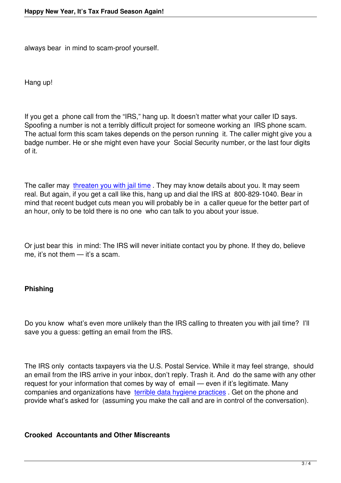always bear in mind to scam-proof yourself.

Hang up!

If you get a phone call from the "IRS," hang up. It doesn't matter what your caller ID says. Spoofing a number is not a terribly difficult project for someone working an IRS phone scam. The actual form this scam takes depends on the person running it. The caller might give you a badge number. He or she might even have your Social Security number, or the last four digits of it.

The caller may threaten you with jail time. They may know details about you. It may seem real. But again, if you get a call like this, hang up and dial the IRS at 800-829-1040. Bear in mind that recent budget cuts mean you will probably be in a caller queue for the better part of an hour, only to [be told there is no one wh](https://www.credit.com/personal-finance/do-i-still-have-any-privacy-rights/)o can talk to you about your issue.

Or just bear this in mind: The IRS will never initiate contact you by phone. If they do, believe me, it's not them — it's a scam.

# **Phishing**

Do you know what's even more unlikely than the IRS calling to threaten you with jail time? I'll save you a guess: getting an email from the IRS.

The IRS only contacts taxpayers via the U.S. Postal Service. While it may feel strange, should an email from the IRS arrive in your inbox, don't reply. Trash it. And do the same with any other request for your information that comes by way of email — even if it's legitimate. Many companies and organizations have terrible data hygiene practices. Get on the phone and provide what's asked for (assuming you make the call and are in control of the conversation).

### **Crooked Accountants and Other Miscreants**